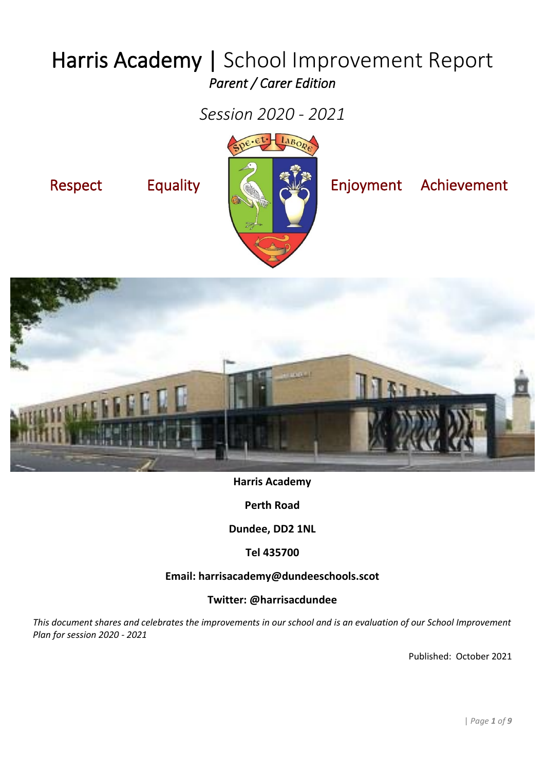# Harris Academy | School Improvement Report *Parent / Carer Edition*

*Session 2020 - 2021*





### **Harris Academy**

**Perth Road**

**Dundee, DD2 1NL**

**Tel 435700**

### **Email: harrisacademy@dundeeschools.scot**

### **Twitter: @harrisacdundee**

*This document shares and celebrates the improvements in our school and is an evaluation of our School Improvement Plan for session 2020 - 2021*

Published: October 2021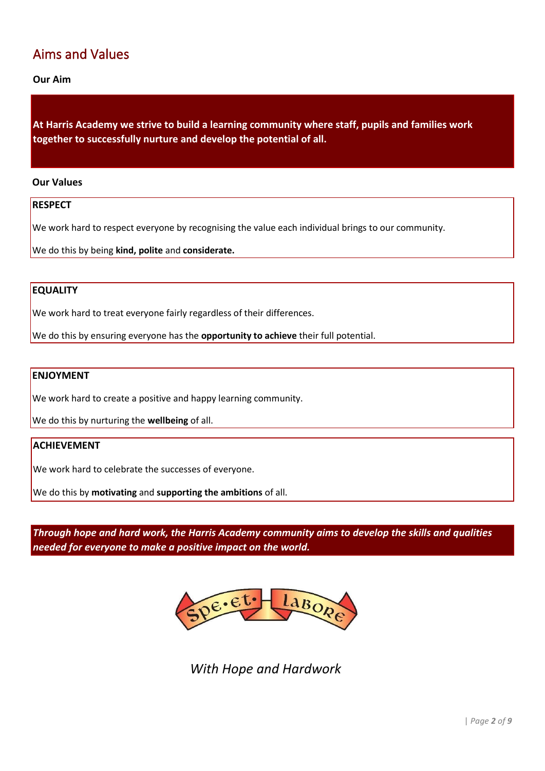### Aims and Values

**Our Aim** 

**At Harris Academy we strive to build a learning community where staff, pupils and families work together to successfully nurture and develop the potential of all.** 

### **Our Values**

### **RESPECT**

We work hard to respect everyone by recognising the value each individual brings to our community.

We do this by being **kind, polite** and **considerate.**

### **EQUALITY**

We work hard to treat everyone fairly regardless of their differences.

We do this by ensuring everyone has the **opportunity to achieve** their full potential.

### **ENJOYMENT**

We work hard to create a positive and happy learning community.

We do this by nurturing the **wellbeing** of all.

### **ACHIEVEMENT**

We work hard to celebrate the successes of everyone.

We do this by **motivating** and **supporting the ambitions** of all.

*Through hope and hard work, the Harris Academy community aims to develop the skills and qualities needed for everyone to make a positive impact on the world.*



*With Hope and Hardwork*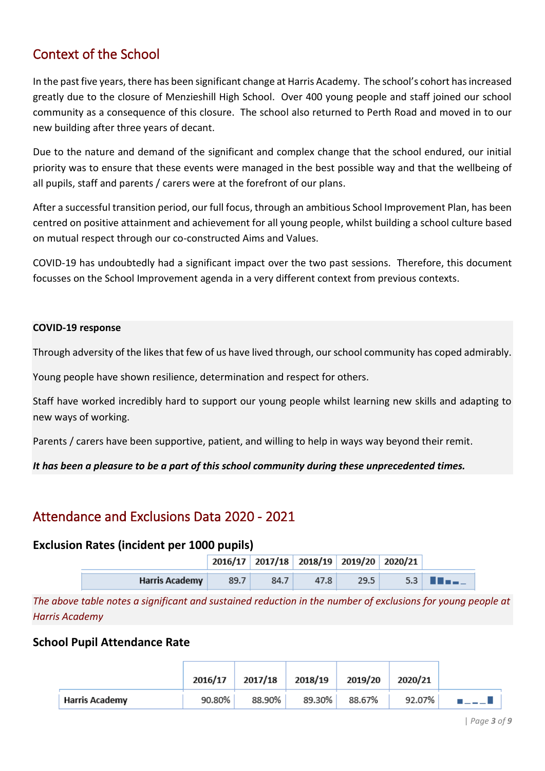### Context of the School

In the past five years, there has been significant change at Harris Academy. The school's cohort has increased greatly due to the closure of Menzieshill High School. Over 400 young people and staff joined our school community as a consequence of this closure. The school also returned to Perth Road and moved in to our new building after three years of decant.

Due to the nature and demand of the significant and complex change that the school endured, our initial priority was to ensure that these events were managed in the best possible way and that the wellbeing of all pupils, staff and parents / carers were at the forefront of our plans.

After a successful transition period, our full focus, through an ambitious School Improvement Plan, has been centred on positive attainment and achievement for all young people, whilst building a school culture based on mutual respect through our co-constructed Aims and Values.

COVID-19 has undoubtedly had a significant impact over the two past sessions. Therefore, this document focusses on the School Improvement agenda in a very different context from previous contexts.

### **COVID-19 response**

Through adversity of the likes that few of us have lived through, our school community has coped admirably.

Young people have shown resilience, determination and respect for others.

Staff have worked incredibly hard to support our young people whilst learning new skills and adapting to new ways of working.

Parents / carers have been supportive, patient, and willing to help in ways way beyond their remit.

*It has been a pleasure to be a part of this school community during these unprecedented times.*

### Attendance and Exclusions Data 2020 - 2021

### **Exclusion Rates (incident per 1000 pupils)**

|                       |      |      | 2016/17 2017/18 2018/19 2019/20 2020/21 |      |                   |
|-----------------------|------|------|-----------------------------------------|------|-------------------|
| <b>Harris Academy</b> | 89.7 | 84.7 | 47.8                                    | 29.5 | $5.3$ <b>III.</b> |

*The above table notes a significant and sustained reduction in the number of exclusions for young people at Harris Academy*

### **School Pupil Attendance Rate**

|                       | 2016/17 | 2017/18 | 2018/19 2019/20 |        | 2020/21 |  |
|-----------------------|---------|---------|-----------------|--------|---------|--|
| <b>Harris Academy</b> | 90.80%  | 88.90%  | 89.30%          | 88.67% | 92.07%  |  |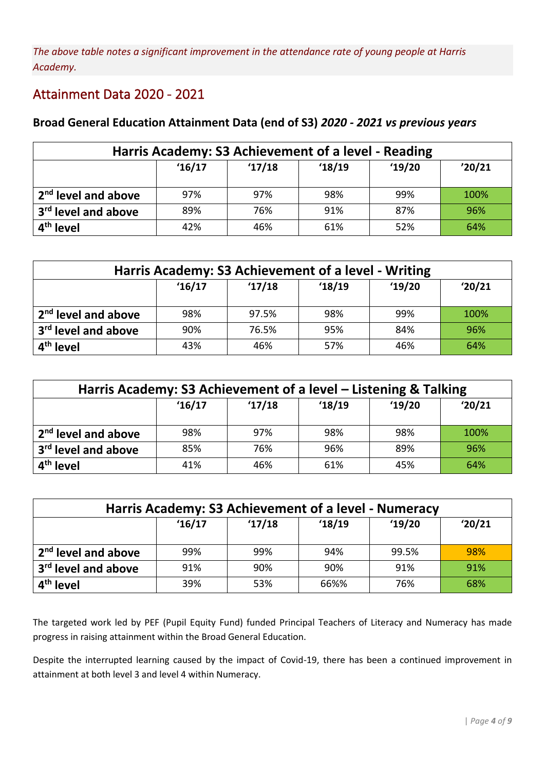*The above table notes a significant improvement in the attendance rate of young people at Harris Academy.*

### Attainment Data 2020 - 2021

### **Broad General Education Attainment Data (end of S3)** *2020 - 2021 vs previous years*

| Harris Academy: S3 Achievement of a level - Reading |       |       |       |       |        |  |  |  |  |
|-----------------------------------------------------|-------|-------|-------|-------|--------|--|--|--|--|
|                                                     | 16/17 | 17/18 | 18/19 | 19/20 | '20/21 |  |  |  |  |
| 2 <sup>nd</sup> level and above                     | 97%   | 97%   | 98%   | 99%   | 100%   |  |  |  |  |
| 3 <sup>rd</sup> level and above                     | 89%   | 76%   | 91%   | 87%   | 96%    |  |  |  |  |
| 4 <sup>th</sup> level                               | 42%   | 46%   | 61%   | 52%   | 64%    |  |  |  |  |

| Harris Academy: S3 Achievement of a level - Writing |                                   |       |       |       |        |  |  |  |  |  |  |
|-----------------------------------------------------|-----------------------------------|-------|-------|-------|--------|--|--|--|--|--|--|
|                                                     | '16/17                            | 17/18 | 18/19 | 19/20 | '20/21 |  |  |  |  |  |  |
| 2 <sup>nd</sup> level and above                     | 98%                               | 97.5% | 98%   | 99%   | 100%   |  |  |  |  |  |  |
| 3 <sup>rd</sup> level and above                     | 96%<br>90%<br>76.5%<br>95%<br>84% |       |       |       |        |  |  |  |  |  |  |
| 4 <sup>th</sup> level                               | 43%                               | 46%   | 57%   | 46%   | 64%    |  |  |  |  |  |  |

| Harris Academy: S3 Achievement of a level – Listening & Talking |                                 |       |       |       |        |  |  |  |  |
|-----------------------------------------------------------------|---------------------------------|-------|-------|-------|--------|--|--|--|--|
|                                                                 | 16/17                           | 17/18 | 18/19 | 19/20 | '20/21 |  |  |  |  |
| 2 <sup>nd</sup> level and above                                 | 98%                             | 97%   | 98%   | 98%   | 100%   |  |  |  |  |
| 3 <sup>rd</sup> level and above                                 | 96%<br>76%<br>96%<br>89%<br>85% |       |       |       |        |  |  |  |  |
| 4 <sup>th</sup> level                                           | 41%                             | 46%   | 61%   | 45%   | 64%    |  |  |  |  |

| Harris Academy: S3 Achievement of a level - Numeracy |                                 |       |       |       |        |  |  |  |  |  |
|------------------------------------------------------|---------------------------------|-------|-------|-------|--------|--|--|--|--|--|
|                                                      | 16/17                           | 17/18 | 18/19 | 19/20 | '20/21 |  |  |  |  |  |
| 2 <sup>nd</sup> level and above                      | 99%                             | 99%   | 94%   | 99.5% | 98%    |  |  |  |  |  |
| 3 <sup>rd</sup> level and above                      | 91%<br>91%<br>91%<br>90%<br>90% |       |       |       |        |  |  |  |  |  |
| 4 <sup>th</sup> level                                | 39%                             | 53%   | 66%%  | 76%   | 68%    |  |  |  |  |  |

The targeted work led by PEF (Pupil Equity Fund) funded Principal Teachers of Literacy and Numeracy has made progress in raising attainment within the Broad General Education.

Despite the interrupted learning caused by the impact of Covid-19, there has been a continued improvement in attainment at both level 3 and level 4 within Numeracy.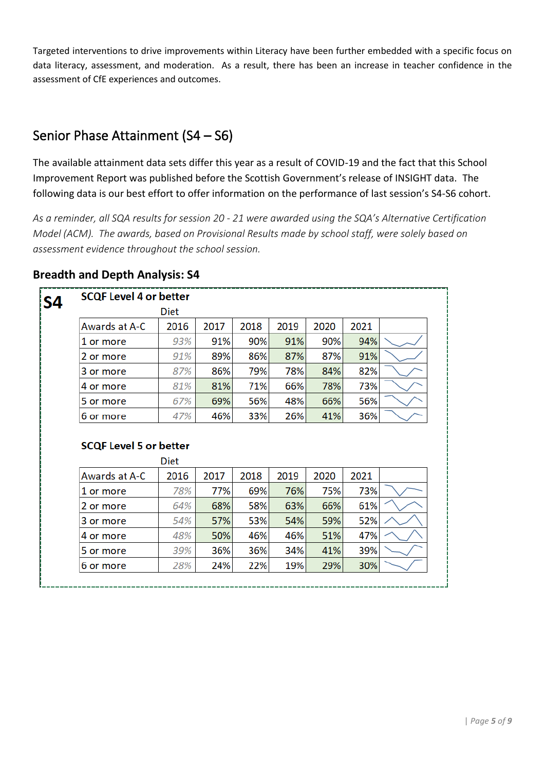Targeted interventions to drive improvements within Literacy have been further embedded with a specific focus on data literacy, assessment, and moderation. As a result, there has been an increase in teacher confidence in the assessment of CfE experiences and outcomes.

### Senior Phase Attainment (S4 – S6)

The available attainment data sets differ this year as a result of COVID-19 and the fact that this School Improvement Report was published before the Scottish Government's release of INSIGHT data. The following data is our best effort to offer information on the performance of last session's S4-S6 cohort.

*As a reminder, all SQA results for session 20 - 21 were awarded using the SQA's Alternative Certification Model (ACM). The awards, based on Provisional Results made by school staff, were solely based on assessment evidence throughout the school session.*

| <b>SCQF Level 4 or better</b>              |      |      |      |      |      |      |  |
|--------------------------------------------|------|------|------|------|------|------|--|
|                                            | Diet |      |      |      |      |      |  |
| Awards at A-C                              | 2016 | 2017 | 2018 | 2019 | 2020 | 2021 |  |
| 1 or more                                  | 93%  | 91%  | 90%  | 91%  | 90%  | 94%  |  |
| 2 or more                                  | 91%  | 89%  | 86%  | 87%  | 87%  | 91%  |  |
| 3 or more                                  | 87%  | 86%  | 79%  | 78%  | 84%  | 82%  |  |
| 4 or more                                  | 81%  | 81%  | 71%  | 66%  | 78%  | 73%  |  |
|                                            | 67%  | 69%  | 56%  | 48%  | 66%  | 56%  |  |
| 5 or more                                  |      |      |      |      |      |      |  |
|                                            | 47%  | 46%  | 33%  | 26%  | 41%  | 36%  |  |
| 6 or more<br><b>SCQF Level 5 or better</b> | Diet |      |      |      |      |      |  |
| Awards at A-C                              | 2016 | 2017 | 2018 | 2019 | 2020 | 2021 |  |
| 1 or more                                  | 78%  | 77%  | 69%  | 76%  | 75%  | 73%  |  |
| 2 or more                                  | 64%  | 68%  | 58%  | 63%  | 66%  | 61%  |  |
| 3 or more                                  | 54%  | 57%  | 53%  | 54%  | 59%  | 52%  |  |
| 4 or more                                  | 48%  | 50%  | 46%  | 46%  | 51%  | 47%  |  |
| 5 or more                                  | 39%  | 36%  | 36%  | 34%  | 41%  | 39%  |  |

### **Breadth and Depth Analysis: S4**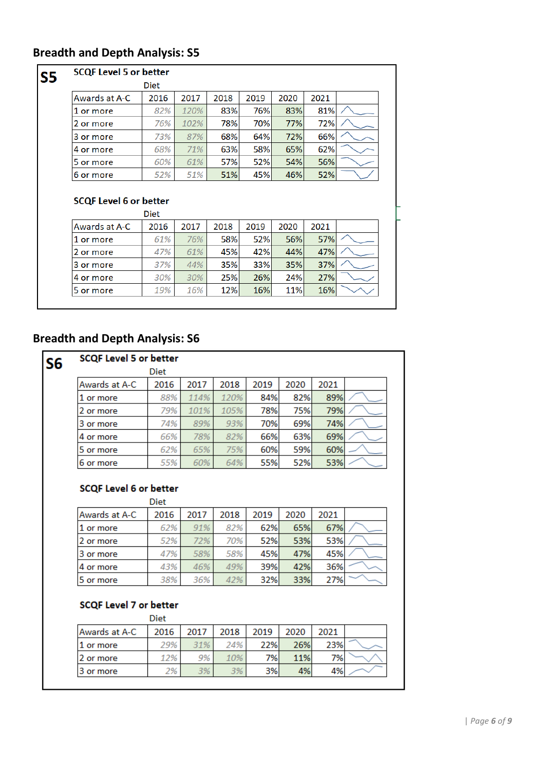### **Breadth and Depth Analysis: S5**

#### **SCQF Level 5 or better**  $S<sub>5</sub>$ **Diet** Awards at A-C 2016 2017 2018 2019 2020 2021 1 or more 82% 120% 83% 76% 83% 81% 2 or more 70% 77% 76% 102% 78% 72% 3 or more 72% 73% 87% 68% 64% 66% 4 or more 71% 63% 58% 65% 68% 62% 56% 5 or more 60% 61% 57% 52% 54% 51% 46% 52% 6 or more 52% 51% 45%

#### **SCQF Level 6 or better** ni.

| 2016 | 2017 | 2018 | 2019                      | 2020 | 2021 |  |
|------|------|------|---------------------------|------|------|--|
| 61%  | 76%  |      | 52%                       | 56%  | 57%  |  |
| 47%  | 61%  |      |                           | 44%  | 47%  |  |
| 37%  | 44%  |      | 33%                       | 35%  | 37%  |  |
| 30%  | 30%  |      | 26%                       | 24%  | 27%  |  |
| 19%  | 16%  | 12%  | 16%                       | 11%  | 16%  |  |
|      |      |      | Diet<br>58%<br>35%<br>25% | 45%  | 42%  |  |

### **Breadth and Depth Analysis: S6**

| S <sub>6</sub> | <b>SCQF Level 5 or better</b> |      |      |      |      |      |      |    |
|----------------|-------------------------------|------|------|------|------|------|------|----|
|                |                               | Diet |      |      |      |      |      |    |
|                | Awards at A-C                 | 2016 | 2017 | 2018 | 2019 | 2020 | 2021 |    |
|                | 1 or more                     | 88%  | 114% | 120% | 84%  | 82%  | 89%  |    |
|                | 2 or more                     | 79%  | 101% | 105% | 78%  | 75%  | 79%  | ست |
|                | 3 or more                     | 74%  | 89%  | 93%  | 70%  | 69%  | 74%  |    |
|                | 4 or more                     | 66%  | 78%  | 82%  | 66%  | 63%  | 69%  |    |
|                | 5 or more                     | 62%  | 65%  | 75%  | 60%  | 59%  | 60%  |    |
|                | 6 or more                     | 55%  | 60%  | 64%  | 55%  | 52%  | 53%  |    |

### **SCQF Level 6 or better**

|               | Diet |      |      |      |      |      |  |
|---------------|------|------|------|------|------|------|--|
| Awards at A-C | 2016 | 2017 | 2018 | 2019 | 2020 | 2021 |  |
| 11 or more    | 62%  | 91%  | 82%  | 62%  | 65%  | 67%  |  |
| 2 or more     | 52%  | 72%  | 70%  | 52%  | 53%  | 53%  |  |
| 3 or more     | 47%  | 58%  | 58%  | 45%  | 47%  | 45%  |  |
| 4 or more     | 43%  | 46%  | 49%  | 39%  | 42%  | 36%  |  |
| 5 or more     | 38%  | 36%  | 42%  | 32%  | 33%  | 27%  |  |

#### **SCQF Level 7 or better**  $\mathbf{R}$

|               | Diet |      |      |      |      |      |  |
|---------------|------|------|------|------|------|------|--|
| Awards at A-C | 2016 | 2017 | 2018 | 2019 | 2020 | 2021 |  |
| 1 or more     | 29%  | 31%  | 24%  | 22%  | 26%  | 23%  |  |
| 12 or more    | 12%  | 9%   | 10%  | 7%   | 11%  | 7%   |  |
| 13 or more    | 2%   | 3%   | 3%   | 3%   | 4%   | 4%   |  |
|               |      |      |      |      |      |      |  |

| *Page 6 of 9*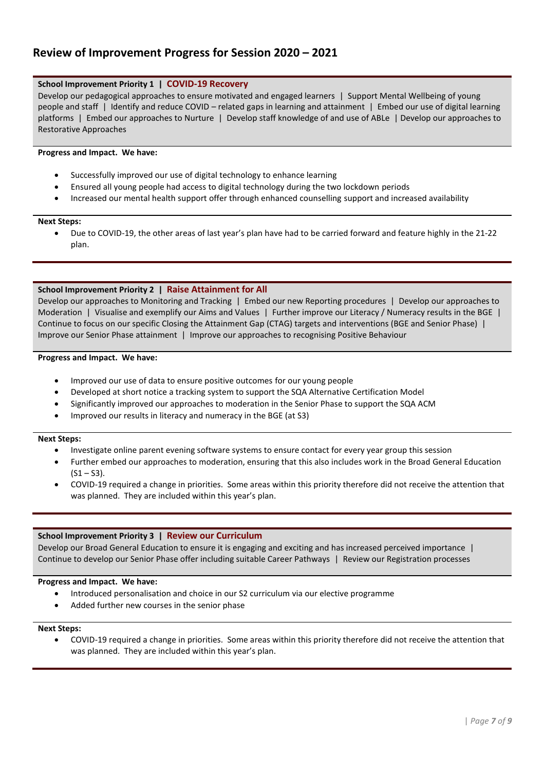### **Review of Improvement Progress for Session 2020 – 2021**

#### **School Improvement Priority 1 | COVID-19 Recovery**

Develop our pedagogical approaches to ensure motivated and engaged learners | Support Mental Wellbeing of young people and staff | Identify and reduce COVID – related gaps in learning and attainment | Embed our use of digital learning platforms | Embed our approaches to Nurture | Develop staff knowledge of and use of ABLe | Develop our approaches to Restorative Approaches

#### **Progress and Impact. We have:**

- Successfully improved our use of digital technology to enhance learning
- Ensured all young people had access to digital technology during the two lockdown periods
- Increased our mental health support offer through enhanced counselling support and increased availability

#### **Next Steps:**

• Due to COVID-19, the other areas of last year's plan have had to be carried forward and feature highly in the 21-22 plan.

#### **School Improvement Priority 2 | Raise Attainment for All**

Develop our approaches to Monitoring and Tracking | Embed our new Reporting procedures | Develop our approaches to Moderation | Visualise and exemplify our Aims and Values | Further improve our Literacy / Numeracy results in the BGE | Continue to focus on our specific Closing the Attainment Gap (CTAG) targets and interventions (BGE and Senior Phase) | Improve our Senior Phase attainment | Improve our approaches to recognising Positive Behaviour

#### **Progress and Impact. We have:**

- Improved our use of data to ensure positive outcomes for our young people
- Developed at short notice a tracking system to support the SQA Alternative Certification Model
- Significantly improved our approaches to moderation in the Senior Phase to support the SQA ACM
- Improved our results in literacy and numeracy in the BGE (at S3)

#### **Next Steps:**

- Investigate online parent evening software systems to ensure contact for every year group this session
- Further embed our approaches to moderation, ensuring that this also includes work in the Broad General Education  $(S1 - S3)$ .
- COVID-19 required a change in priorities. Some areas within this priority therefore did not receive the attention that was planned. They are included within this year's plan.

#### **School Improvement Priority 3 | Review our Curriculum**

Develop our Broad General Education to ensure it is engaging and exciting and has increased perceived importance | Continue to develop our Senior Phase offer including suitable Career Pathways | Review our Registration processes

#### **Progress and Impact. We have:**

- Introduced personalisation and choice in our S2 curriculum via our elective programme
- Added further new courses in the senior phase

### **Next Steps:**

• COVID-19 required a change in priorities. Some areas within this priority therefore did not receive the attention that was planned. They are included within this year's plan.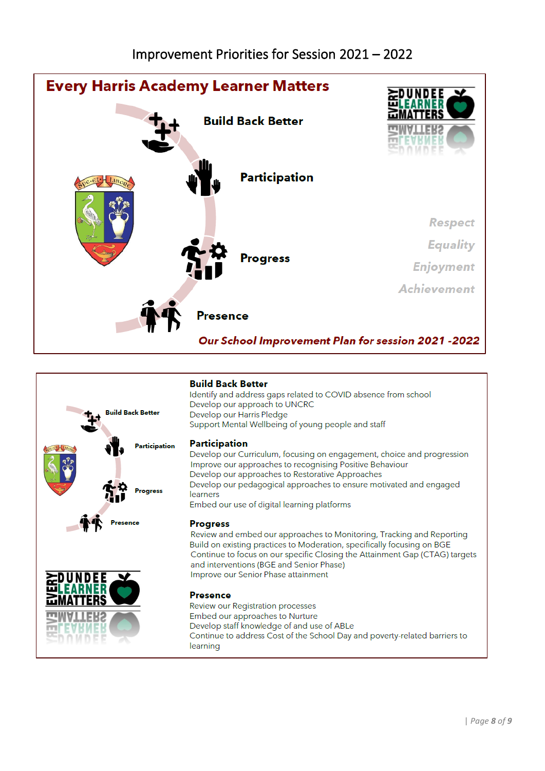



### **Build Back Better**

Identify and address gaps related to COVID absence from school Develop our approach to UNCRC Develop our Harris Pledge Support Mental Wellbeing of young people and staff

### **Participation**

Develop our Curriculum, focusing on engagement, choice and progression Improve our approaches to recognising Positive Behaviour Develop our approaches to Restorative Approaches Develop our pedagogical approaches to ensure motivated and engaged learners Embed our use of digital learning platforms

### **Progress**

Review and embed our approaches to Monitoring, Tracking and Reporting Build on existing practices to Moderation, specifically focusing on BGE Continue to focus on our specific Closing the Attainment Gap (CTAG) targets and interventions (BGE and Senior Phase) Improve our Senior Phase attainment

### **Presence**

Review our Registration processes Embed our approaches to Nurture Develop staff knowledge of and use of ABLe Continue to address Cost of the School Day and poverty-related barriers to learning